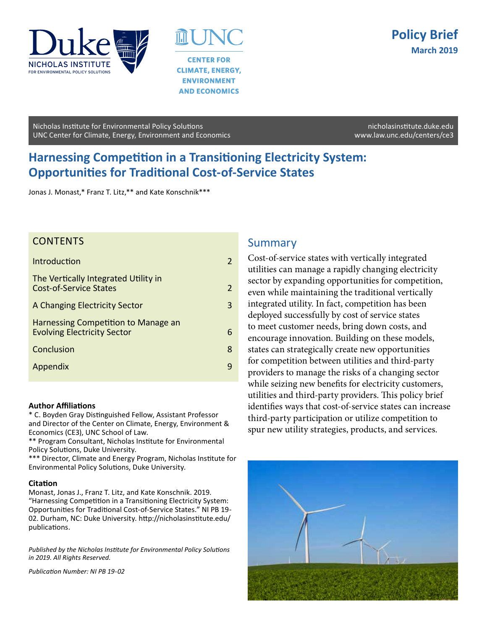



**AND ECONOMICS** 

Nicholas Institute for Environmental Policy Solutions [nicholasinstitute.duke.edu](http://nicholasinstitute.duke.edu) UNC Center for Climate, Energy, Environment and Economics www.law.unc.edu/centers/ce3

# **Harnessing Competition in a Transitioning Electricity System: Opportunities for Traditional Cost-of-Service States**

Jonas J. Monast,\* Franz T. Litz,\*\* and Kate Konschnik\*\*\*

## **CONTENTS**

| 3 |
|---|
|   |
| 8 |
|   |
|   |

#### **Author Affiliations**

\* C. Boyden Gray Distinguished Fellow, Assistant Professor and Director of the Center on Climate, Energy, Environment & Economics (CE3), UNC School of Law.

\*\* Program Consultant, Nicholas Institute for Environmental Policy Solutions, Duke University.

\*\*\* Director, Climate and Energy Program, Nicholas Institute for Environmental Policy Solutions, Duke University.

#### **Citation**

Monast, Jonas J., Franz T. Litz, and Kate Konschnik. 2019. "Harnessing Competition in a Transitioning Electricity System: Opportunities for Traditional Cost-of-Service States." NI PB 19- 02. Durham, NC: Duke University. http://nicholasinstitute.edu/ publications.

*Published by the Nicholas Institute for Environmental Policy Solutions in 2019. All Rights Reserved.* 

*Publication Number: NI PB 19-02*

## Summary

Cost-of-service states with vertically integrated utilities can manage a rapidly changing electricity sector by expanding opportunities for competition, even while maintaining the traditional vertically integrated utility. In fact, competition has been deployed successfully by cost of service states to meet customer needs, bring down costs, and encourage innovation. Building on these models, states can strategically create new opportunities for competition between utilities and third-party providers to manage the risks of a changing sector while seizing new benefits for electricity customers, utilities and third-party providers. This policy brief identifies ways that cost-of-service states can increase third-party participation or utilize competition to spur new utility strategies, products, and services.

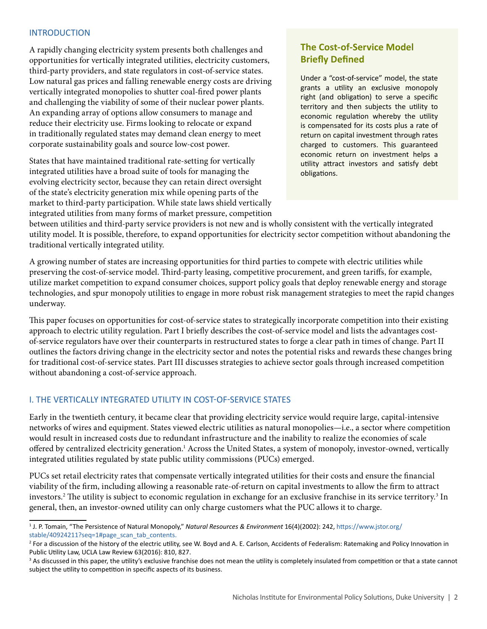#### INTRODUCTION

A rapidly changing electricity system presents both challenges and opportunities for vertically integrated utilities, electricity customers, third-party providers, and state regulators in cost-of-service states. Low natural gas prices and falling renewable energy costs are driving vertically integrated monopolies to shutter coal-fired power plants and challenging the viability of some of their nuclear power plants. An expanding array of options allow consumers to manage and reduce their electricity use. Firms looking to relocate or expand in traditionally regulated states may demand clean energy to meet corporate sustainability goals and source low-cost power.

States that have maintained traditional rate-setting for vertically integrated utilities have a broad suite of tools for managing the evolving electricity sector, because they can retain direct oversight of the state's electricity generation mix while opening parts of the market to third-party participation. While state laws shield vertically integrated utilities from many forms of market pressure, competition

## **The Cost-of-Service Model Briefly Defined**

Under a "cost-of-service" model, the state grants a utility an exclusive monopoly right (and obligation) to serve a specific territory and then subjects the utility to economic regulation whereby the utility is compensated for its costs plus a rate of return on capital investment through rates charged to customers. This guaranteed economic return on investment helps a utility attract investors and satisfy debt obligations.

between utilities and third-party service providers is not new and is wholly consistent with the vertically integrated utility model. It is possible, therefore, to expand opportunities for electricity sector competition without abandoning the traditional vertically integrated utility.

A growing number of states are increasing opportunities for third parties to compete with electric utilities while preserving the cost-of-service model. Third-party leasing, competitive procurement, and green tariffs, for example, utilize market competition to expand consumer choices, support policy goals that deploy renewable energy and storage technologies, and spur monopoly utilities to engage in more robust risk management strategies to meet the rapid changes underway.

This paper focuses on opportunities for cost-of-service states to strategically incorporate competition into their existing approach to electric utility regulation. Part I briefly describes the cost-of-service model and lists the advantages costof-service regulators have over their counterparts in restructured states to forge a clear path in times of change. Part II outlines the factors driving change in the electricity sector and notes the potential risks and rewards these changes bring for traditional cost-of-service states. Part III discusses strategies to achieve sector goals through increased competition without abandoning a cost-of-service approach.

### I. THE VERTICALLY INTEGRATED UTILITY IN COST-OF-SERVICE STATES

Early in the twentieth century, it became clear that providing electricity service would require large, capital-intensive networks of wires and equipment. States viewed electric utilities as natural monopolies—i.e., a sector where competition would result in increased costs due to redundant infrastructure and the inability to realize the economies of scale offered by centralized electricity generation.<sup>1</sup> Across the United States, a system of monopoly, investor-owned, vertically integrated utilities regulated by state public utility commissions (PUCs) emerged.

PUCs set retail electricity rates that compensate vertically integrated utilities for their costs and ensure the financial viability of the firm, including allowing a reasonable rate-of-return on capital investments to allow the firm to attract investors.2 The utility is subject to economic regulation in exchange for an exclusive franchise in its service territory.3 In general, then, an investor-owned utility can only charge customers what the PUC allows it to charge.

<sup>1</sup> J. P. Tomain, "The Persistence of Natural Monopoly," *Natural Resources & Environment* 16(4)(2002): 242, https://www.jstor.org/ stable/40924211?seq=1#page\_scan\_tab\_contents.

<sup>&</sup>lt;sup>2</sup> For a discussion of the history of the electric utility, see W. Boyd and A. E. Carlson, Accidents of Federalism: Ratemaking and Policy Innovation in Public Utility Law, UCLA Law Review 63(2016): 810, 827.

<sup>&</sup>lt;sup>3</sup> As discussed in this paper, the utility's exclusive franchise does not mean the utility is completely insulated from competition or that a state cannot subject the utility to competition in specific aspects of its business.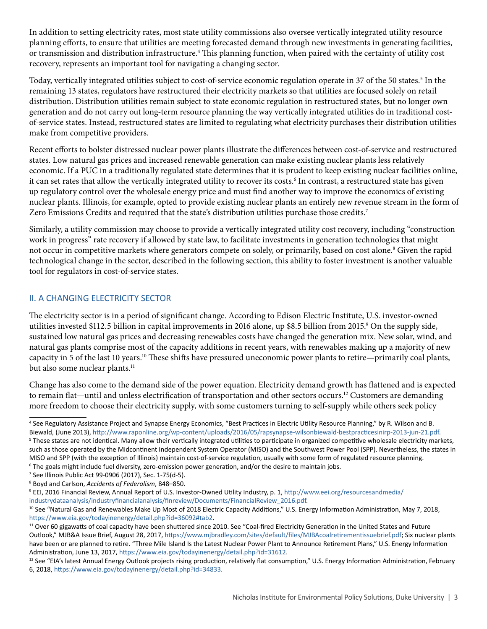In addition to setting electricity rates, most state utility commissions also oversee vertically integrated utility resource planning efforts, to ensure that utilities are meeting forecasted demand through new investments in generating facilities, or transmission and distribution infrastructure.<sup>4</sup> This planning function, when paired with the certainty of utility cost recovery, represents an important tool for navigating a changing sector.

Today, vertically integrated utilities subject to cost-of-service economic regulation operate in 37 of the 50 states.5 In the remaining 13 states, regulators have restructured their electricity markets so that utilities are focused solely on retail distribution. Distribution utilities remain subject to state economic regulation in restructured states, but no longer own generation and do not carry out long-term resource planning the way vertically integrated utilities do in traditional costof-service states. Instead, restructured states are limited to regulating what electricity purchases their distribution utilities make from competitive providers.

Recent efforts to bolster distressed nuclear power plants illustrate the differences between cost-of-service and restructured states. Low natural gas prices and increased renewable generation can make existing nuclear plants less relatively economic. If a PUC in a traditionally regulated state determines that it is prudent to keep existing nuclear facilities online, it can set rates that allow the vertically integrated utility to recover its costs.<sup>6</sup> In contrast, a restructured state has given up regulatory control over the wholesale energy price and must find another way to improve the economics of existing nuclear plants. Illinois, for example, opted to provide existing nuclear plants an entirely new revenue stream in the form of Zero Emissions Credits and required that the state's distribution utilities purchase those credits.7

Similarly, a utility commission may choose to provide a vertically integrated utility cost recovery, including "construction work in progress" rate recovery if allowed by state law, to facilitate investments in generation technologies that might not occur in competitive markets where generators compete on solely, or primarily, based on cost alone.<sup>8</sup> Given the rapid technological change in the sector, described in the following section, this ability to foster investment is another valuable tool for regulators in cost-of-service states.

## II. A CHANGING ELECTRICITY SECTOR

The electricity sector is in a period of significant change. According to Edison Electric Institute, U.S. investor-owned utilities invested \$112.5 billion in capital improvements in 2016 alone, up \$8.5 billion from 2015.<sup>9</sup> On the supply side, sustained low natural gas prices and decreasing renewables costs have changed the generation mix. New solar, wind, and natural gas plants comprise most of the capacity additions in recent years, with renewables making up a majority of new capacity in 5 of the last 10 years.<sup>10</sup> These shifts have pressured uneconomic power plants to retire—primarily coal plants, but also some nuclear plants.<sup>11</sup>

Change has also come to the demand side of the power equation. Electricity demand growth has flattened and is expected to remain flat—until and unless electrification of transportation and other sectors occurs.<sup>12</sup> Customers are demanding more freedom to choose their electricity supply, with some customers turning to self-supply while others seek policy

7 See Illinois Public Act 99-0906 (2017), Sec. 1-75(d-5).

<sup>4</sup> See Regulatory Assistance Project and Synapse Energy Economics, "Best Practices in Electric Utility Resource Planning," by R. Wilson and B. Biewald, (June 2013), <http://www.raponline.org/wp-content/uploads/2016/05/rapsynapse-wilsonbiewald-bestpracticesinirp-2013-jun-21.pdf>. 5 <sup>5</sup> These states are not identical. Many allow their vertically integrated utilities to participate in organized competitive wholesale electricity markets, such as those operated by the Midcontinent Independent System Operator (MISO) and the Southwest Power Pool (SPP). Nevertheless, the states in MISO and SPP (with the exception of Illinois) maintain cost-of-service regulation, usually with some form of regulated resource planning. 6 The goals might include fuel diversity, zero-emission power generation, and/or the desire to maintain jobs.

<sup>8</sup> Boyd and Carlson, *Accidents of Federalism*, 848–850.

<sup>9</sup> EEI, 2016 Financial Review, Annual Report of U.S. Investor-Owned Utility Industry, p. 1, [http://www.eei.org/resourcesandmedia/](http://www.eei.org/resourcesandmedia/industrydataanalysis/industryfinancialanalysis/finreview/Documents/FinancialReview_2016.pdf)

[industrydataanalysis/industryfinancialanalysis/finreview/Documents/FinancialReview\\_2016.pdf](http://www.eei.org/resourcesandmedia/industrydataanalysis/industryfinancialanalysis/finreview/Documents/FinancialReview_2016.pdf).<br><sup>10</sup> See "Natural Gas and Renewables Make Up Most of 2018 Electric Capacity Additions," U.S. Energy Information Administration, M https://www.eia.gov/todayinenergy/detail.php?id=36092#tab2.<br><sup>11</sup> Over 60 gigawatts of coal capacity have been shuttered since 2010. See "Coal-fired Electricity Generation in the United States and Future

Outlook," MJB&A Issue Brief, August 28, 2017, [https://www.mjbradley.com/sites/default/files/MJBAcoalretirementissuebrief.pdf;](https://www.mjbradley.com/sites/default/files/MJBAcoalretirementissuebrief.pdf) Six nuclear plants have been or are planned to retire. "Three Mile Island Is the Latest Nuclear Power Plant to Announce Retirement Plans," U.S. Energy Information Administration, June 13, 2017, [https://www.eia.gov/todayinenergy/detail.php?id=31612.](https://www.eia.gov/todayinenergy/detail.php?id=31612)<br><sup>12</sup> See "EIA's latest Annual Energy Outlook projects rising production, relatively flat consumption," U.S. Energy Information Administr

<sup>6, 2018,</sup> [https://www.eia.gov/todayinenergy/detail.php?id=34833.](https://www.eia.gov/todayinenergy/detail.php?id=34833)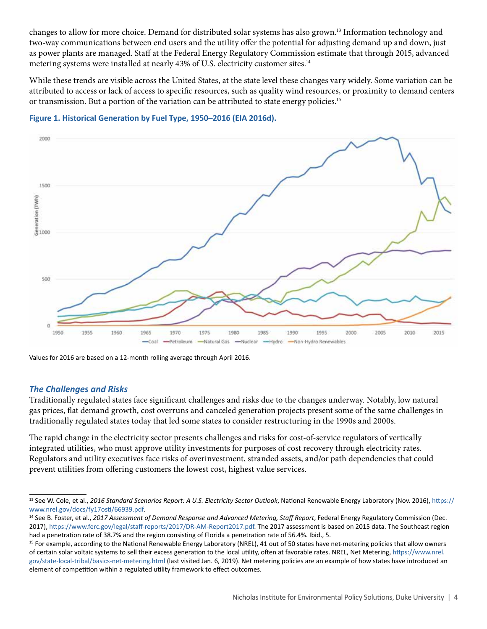changes to allow for more choice. Demand for distributed solar systems has also grown.13 Information technology and two-way communications between end users and the utility offer the potential for adjusting demand up and down, just as power plants are managed. Staff at the Federal Energy Regulatory Commission estimate that through 2015, advanced metering systems were installed at nearly 43% of U.S. electricity customer sites.<sup>14</sup>

While these trends are visible across the United States, at the state level these changes vary widely. Some variation can be attributed to access or lack of access to specific resources, such as quality wind resources, or proximity to demand centers or transmission. But a portion of the variation can be attributed to state energy policies.<sup>15</sup>



#### **Figure 1. Historical Generation by Fuel Type, 1950–2016 (EIA 2016d).**

Values for 2016 are based on a 12-month rolling average through April 2016.

#### *The Challenges and Risks*

Traditionally regulated states face significant challenges and risks due to the changes underway. Notably, low natural gas prices, flat demand growth, cost overruns and canceled generation projects present some of the same challenges in traditionally regulated states today that led some states to consider restructuring in the 1990s and 2000s.

The rapid change in the electricity sector presents challenges and risks for cost-of-service regulators of vertically integrated utilities, who must approve utility investments for purposes of cost recovery through electricity rates. Regulators and utility executives face risks of overinvestment, stranded assets, and/or path dependencies that could prevent utilities from offering customers the lowest cost, highest value services.

<sup>13</sup> See W. Cole, et al., *2016 Standard Scenarios Report: A U.S. Electricity Sector Outlook*, National Renewable Energy Laboratory (Nov. 2016), [https://](https://www.nrel.gov/docs/fy17osti/66939.pdf) [www.nrel.gov/docs/fy17osti/66939.pdf](https://www.nrel.gov/docs/fy17osti/66939.pdf).<br><sup>14</sup> See B. Foster, et al., *2017 Assessment of Demand Response and Advanced Metering, Staff Report, Federal Energy Regulatory Commission (Dec.* 

<sup>2017),</sup> [https://www.ferc.gov/legal/staff-reports/2017/DR-AM-Report2017.pdf.](https://www.ferc.gov/legal/staff-reports/2017/DR-AM-Report2017.pdf) The 2017 assessment is based on 2015 data. The Southeast region had a penetration rate of 38.7% and the region consisting of Florida a penetration rate of 56.4%. Ibid., 5.

<sup>&</sup>lt;sup>15</sup> For example, according to the National Renewable Energy Laboratory (NREL), 41 out of 50 states have net-metering policies that allow owners of certain solar voltaic systems to sell their excess generation to the local utility, often at favorable rates. NREL, Net Metering, [https://www.nrel.](https://www.nrel.gov/state-local-tribal/basics-net-metering.html) [gov/state-local-tribal/basics-net-metering.html](https://www.nrel.gov/state-local-tribal/basics-net-metering.html) (last visited Jan. 6, 2019). Net metering policies are an example of how states have introduced an element of competition within a regulated utility framework to effect outcomes.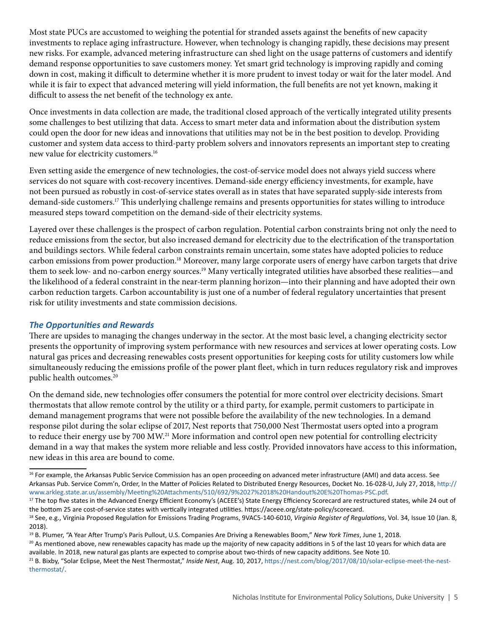Most state PUCs are accustomed to weighing the potential for stranded assets against the benefits of new capacity investments to replace aging infrastructure. However, when technology is changing rapidly, these decisions may present new risks. For example, advanced metering infrastructure can shed light on the usage patterns of customers and identify demand response opportunities to save customers money. Yet smart grid technology is improving rapidly and coming down in cost, making it difficult to determine whether it is more prudent to invest today or wait for the later model. And while it is fair to expect that advanced metering will yield information, the full benefits are not yet known, making it difficult to assess the net benefit of the technology ex ante.

Once investments in data collection are made, the traditional closed approach of the vertically integrated utility presents some challenges to best utilizing that data. Access to smart meter data and information about the distribution system could open the door for new ideas and innovations that utilities may not be in the best position to develop. Providing customer and system data access to third-party problem solvers and innovators represents an important step to creating new value for electricity customers.16

Even setting aside the emergence of new technologies, the cost-of-service model does not always yield success where services do not square with cost-recovery incentives. Demand-side energy efficiency investments, for example, have not been pursued as robustly in cost-of-service states overall as in states that have separated supply-side interests from demand-side customers.<sup>17</sup> This underlying challenge remains and presents opportunities for states willing to introduce measured steps toward competition on the demand-side of their electricity systems.

Layered over these challenges is the prospect of carbon regulation. Potential carbon constraints bring not only the need to reduce emissions from the sector, but also increased demand for electricity due to the electrification of the transportation and buildings sectors. While federal carbon constraints remain uncertain, some states have adopted policies to reduce carbon emissions from power production.<sup>18</sup> Moreover, many large corporate users of energy have carbon targets that drive them to seek low- and no-carbon energy sources.<sup>19</sup> Many vertically integrated utilities have absorbed these realities—and the likelihood of a federal constraint in the near-term planning horizon—into their planning and have adopted their own carbon reduction targets. Carbon accountability is just one of a number of federal regulatory uncertainties that present risk for utility investments and state commission decisions.

### *The Opportunities and Rewards*

There are upsides to managing the changes underway in the sector. At the most basic level, a changing electricity sector presents the opportunity of improving system performance with new resources and services at lower operating costs. Low natural gas prices and decreasing renewables costs present opportunities for keeping costs for utility customers low while simultaneously reducing the emissions profile of the power plant fleet, which in turn reduces regulatory risk and improves public health outcomes.<sup>20</sup>

On the demand side, new technologies offer consumers the potential for more control over electricity decisions. Smart thermostats that allow remote control by the utility or a third party, for example, permit customers to participate in demand management programs that were not possible before the availability of the new technologies. In a demand response pilot during the solar eclipse of 2017, Nest reports that 750,000 Nest Thermostat users opted into a program to reduce their energy use by 700 MW.<sup>21</sup> More information and control open new potential for controlling electricity demand in a way that makes the system more reliable and less costly. Provided innovators have access to this information, new ideas in this area are bound to come.

<sup>&</sup>lt;sup>16</sup> For example, the Arkansas Public Service Commission has an open proceeding on advanced meter infrastructure (AMI) and data access. See Arkansas Pub. Service Comm'n, Order, In the Matter of Policies Related to Distributed Energy Resources, Docket No. 16-028-U, July 27, 2018, [http://](http://www.arkleg.state.ar.us/assembly/Meeting%20Attachments/510/692/9%2027%2018%20Handout%20E%20Thomas-PSC.pdf) [www.arkleg.state.ar.us/assembly/Meeting%20Attachments/510/692/9%2027%2018%20Handout%20E%20Thomas-PSC.pdf](http://www.arkleg.state.ar.us/assembly/Meeting%20Attachments/510/692/9%2027%2018%20Handout%20E%20Thomas-PSC.pdf).

<sup>&</sup>lt;sup>17</sup> The top five states in the Advanced Energy Efficient Economy's (ACEEE's) State Energy Efficiency Scorecard are restructured states, while 24 out of the bottom 25 are cost-of-service states with vertically integrated utilities. https://aceee.org/state-policy/scorecard.

<sup>18</sup> See, e.g., Virginia Proposed Regulation for Emissions Trading Programs, 9VAC5-140-6010, *Virginia Register of Regulations*, Vol. 34, Issue 10 (Jan. 8, 2018).

<sup>19</sup> B. Plumer, "A Year After Trump's Paris Pullout, U.S. Companies Are Driving a Renewables Boom," *New York Times*, June 1, 2018.

 $20$  As mentioned above, new renewables capacity has made up the majority of new capacity additions in 5 of the last 10 years for which data are available. In 2018, new natural gas plants are expected to comprise about two-thirds of new capacity additions. See Note 10.

<sup>21</sup> B. Bixby, "Solar Eclipse, Meet the Nest Thermostat," *Inside Nest*, Aug. 10, 2017, [https://nest.com/blog/2017/08/10/solar-eclipse-meet-the-nest](https://nest.com/blog/2017/08/10/solar-eclipse-meet-the-nest-thermostat/)[thermostat/](https://nest.com/blog/2017/08/10/solar-eclipse-meet-the-nest-thermostat/).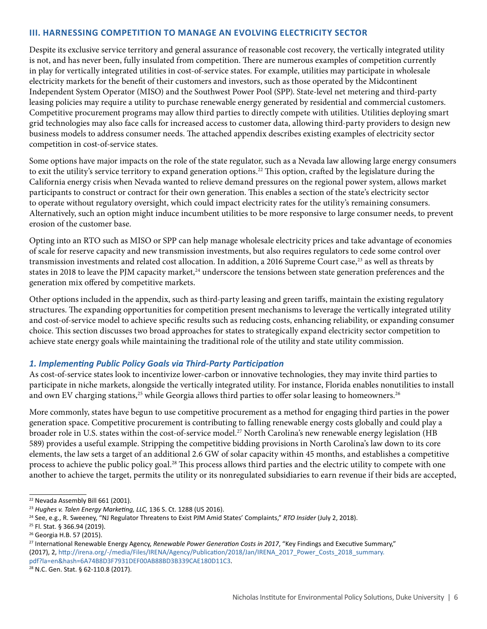#### **III. HARNESSING COMPETITION TO MANAGE AN EVOLVING ELECTRICITY SECTOR**

Despite its exclusive service territory and general assurance of reasonable cost recovery, the vertically integrated utility is not, and has never been, fully insulated from competition. There are numerous examples of competition currently in play for vertically integrated utilities in cost-of-service states. For example, utilities may participate in wholesale electricity markets for the benefit of their customers and investors, such as those operated by the Midcontinent Independent System Operator (MISO) and the Southwest Power Pool (SPP). State-level net metering and third-party leasing policies may require a utility to purchase renewable energy generated by residential and commercial customers. Competitive procurement programs may allow third parties to directly compete with utilities. Utilities deploying smart grid technologies may also face calls for increased access to customer data, allowing third-party providers to design new business models to address consumer needs. The attached appendix describes existing examples of electricity sector competition in cost-of-service states.

Some options have major impacts on the role of the state regulator, such as a Nevada law allowing large energy consumers to exit the utility's service territory to expand generation options.<sup>22</sup> This option, crafted by the legislature during the California energy crisis when Nevada wanted to relieve demand pressures on the regional power system, allows market participants to construct or contract for their own generation. This enables a section of the state's electricity sector to operate without regulatory oversight, which could impact electricity rates for the utility's remaining consumers. Alternatively, such an option might induce incumbent utilities to be more responsive to large consumer needs, to prevent erosion of the customer base.

Opting into an RTO such as MISO or SPP can help manage wholesale electricity prices and take advantage of economies of scale for reserve capacity and new transmission investments, but also requires regulators to cede some control over transmission investments and related cost allocation. In addition, a 2016 Supreme Court case,<sup>23</sup> as well as threats by states in 2018 to leave the PJM capacity market,<sup>24</sup> underscore the tensions between state generation preferences and the generation mix offered by competitive markets.

Other options included in the appendix, such as third-party leasing and green tariffs, maintain the existing regulatory structures. The expanding opportunities for competition present mechanisms to leverage the vertically integrated utility and cost-of-service model to achieve specific results such as reducing costs, enhancing reliability, or expanding consumer choice. This section discusses two broad approaches for states to strategically expand electricity sector competition to achieve state energy goals while maintaining the traditional role of the utility and state utility commission.

### *1. Implementing Public Policy Goals via Third-Party Participation*

As cost-of-service states look to incentivize lower-carbon or innovative technologies, they may invite third parties to participate in niche markets, alongside the vertically integrated utility. For instance, Florida enables nonutilities to install and own EV charging stations,<sup>25</sup> while Georgia allows third parties to offer solar leasing to homeowners.<sup>26</sup>

More commonly, states have begun to use competitive procurement as a method for engaging third parties in the power generation space. Competitive procurement is contributing to falling renewable energy costs globally and could play a broader role in U.S. states within the cost-of-service model.<sup>27</sup> North Carolina's new renewable energy legislation (HB 589) provides a useful example. Stripping the competitive bidding provisions in North Carolina's law down to its core elements, the law sets a target of an additional 2.6 GW of solar capacity within 45 months, and establishes a competitive process to achieve the public policy goal.<sup>28</sup> This process allows third parties and the electric utility to compete with one another to achieve the target, permits the utility or its nonregulated subsidiaries to earn revenue if their bids are accepted,

<sup>&</sup>lt;sup>22</sup> Nevada Assembly Bill 661 (2001).

<sup>23</sup> *Hughes v. Talen Energy Marketing, LLC,* 136 S. Ct. 1288 (US 2016).

<sup>24</sup> See, e.g., R. Sweeney, "NJ Regulator Threatens to Exist PJM Amid States' Complaints," *RTO Insider* (July 2, 2018).

<sup>25</sup> Fl. Stat. § 366.94 (2019).

<sup>26</sup> Georgia H.B. 57 (2015).

<sup>27</sup> International Renewable Energy Agency, *Renewable Power Generation Costs in 2017*, "Key Findings and Executive Summary," (2017), 2, [http://irena.org/-/media/Files/IRENA/Agency/Publication/2018/Jan/IRENA\\_2017\\_Power\\_Costs\\_2018\\_summary.](http://irena.org/-/media/Files/IRENA/Agency/Publication/2018/Jan/IRENA_2017_Power_Costs_2018_summary.pdf?la=en&hash=6A74B8D3F7931DEF00AB88BD3B339CAE180D11C3) [pdf?la=en&hash=6A74B8D3F7931DEF00AB88BD3B339CAE180D11C3.](http://irena.org/-/media/Files/IRENA/Agency/Publication/2018/Jan/IRENA_2017_Power_Costs_2018_summary.pdf?la=en&hash=6A74B8D3F7931DEF00AB88BD3B339CAE180D11C3)<br><sup>28</sup> N.C. Gen. Stat. § 62-110.8 (2017).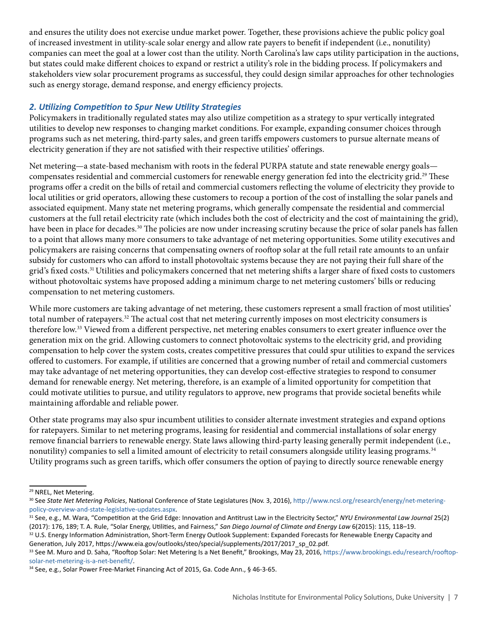and ensures the utility does not exercise undue market power. Together, these provisions achieve the public policy goal of increased investment in utility-scale solar energy and allow rate payers to benefit if independent (i.e., nonutility) companies can meet the goal at a lower cost than the utility. North Carolina's law caps utility participation in the auctions, but states could make different choices to expand or restrict a utility's role in the bidding process. If policymakers and stakeholders view solar procurement programs as successful, they could design similar approaches for other technologies such as energy storage, demand response, and energy efficiency projects.

## *2. Utilizing Competition to Spur New Utility Strategies*

Policymakers in traditionally regulated states may also utilize competition as a strategy to spur vertically integrated utilities to develop new responses to changing market conditions. For example, expanding consumer choices through programs such as net metering, third-party sales, and green tariffs empowers customers to pursue alternate means of electricity generation if they are not satisfied with their respective utilities' offerings.

Net metering—a state-based mechanism with roots in the federal PURPA statute and state renewable energy goals compensates residential and commercial customers for renewable energy generation fed into the electricity grid.<sup>29</sup> These programs offer a credit on the bills of retail and commercial customers reflecting the volume of electricity they provide to local utilities or grid operators, allowing these customers to recoup a portion of the cost of installing the solar panels and associated equipment. Many state net metering programs, which generally compensate the residential and commercial customers at the full retail electricity rate (which includes both the cost of electricity and the cost of maintaining the grid), have been in place for decades.<sup>30</sup> The policies are now under increasing scrutiny because the price of solar panels has fallen to a point that allows many more consumers to take advantage of net metering opportunities. Some utility executives and policymakers are raising concerns that compensating owners of rooftop solar at the full retail rate amounts to an unfair subsidy for customers who can afford to install photovoltaic systems because they are not paying their full share of the grid's fixed costs.<sup>31</sup> Utilities and policymakers concerned that net metering shifts a larger share of fixed costs to customers without photovoltaic systems have proposed adding a minimum charge to net metering customers' bills or reducing compensation to net metering customers.

While more customers are taking advantage of net metering, these customers represent a small fraction of most utilities' total number of ratepayers.<sup>32</sup> The actual cost that net metering currently imposes on most electricity consumers is therefore low.<sup>33</sup> Viewed from a different perspective, net metering enables consumers to exert greater influence over the generation mix on the grid. Allowing customers to connect photovoltaic systems to the electricity grid, and providing compensation to help cover the system costs, creates competitive pressures that could spur utilities to expand the services offered to customers. For example, if utilities are concerned that a growing number of retail and commercial customers may take advantage of net metering opportunities, they can develop cost-effective strategies to respond to consumer demand for renewable energy. Net metering, therefore, is an example of a limited opportunity for competition that could motivate utilities to pursue, and utility regulators to approve, new programs that provide societal benefits while maintaining affordable and reliable power.

Other state programs may also spur incumbent utilities to consider alternate investment strategies and expand options for ratepayers. Similar to net metering programs, leasing for residential and commercial installations of solar energy remove financial barriers to renewable energy. State laws allowing third-party leasing generally permit independent (i.e., nonutility) companies to sell a limited amount of electricity to retail consumers alongside utility leasing programs.<sup>34</sup> Utility programs such as green tariffs, which offer consumers the option of paying to directly source renewable energy

<sup>&</sup>lt;sup>29</sup> NREL, Net Metering.

<sup>30</sup> See *State Net Metering Policies*, National Conference of State Legislatures (Nov. 3, 2016), [http://www.ncsl.org/research/energy/net-metering](http://www.ncsl.org/research/energy/net-metering-policy-overview-and-state-legislative-updates.aspx)[policy-overview-and-state-legislative-updates.aspx.](http://www.ncsl.org/research/energy/net-metering-policy-overview-and-state-legislative-updates.aspx)<br><sup>31</sup> See, e.g., M. Wara, "Competition at the Grid Edge: Innovation and Antitrust Law in the Electricity Sector," *NYU Environmental Law Journal* 25(2)

<sup>(2017): 176, 189;</sup> T. A. Rule, "Solar Energy, Utilities, and Fairness," *San Diego Journal of Climate and Energy Law* 6(2015): 115, 118–19. <sup>32</sup> U.S. Energy Information Administration, Short-Term Energy Outlook Supplement: Expanded Forecasts for Renewable Energy Capacity and Generation, July 2017, https://www.eia.gov/outlooks/steo/special/supplements/2017/2017\_sp\_02.pdf.

<sup>33</sup> See M. Muro and D. Saha, "Rooftop Solar: Net Metering Is a Net Benefit," Brookings, May 23, 2016, [https://www.brookings.edu/research/rooftop](https://www.brookings.edu/research/rooftop-solar-net-metering-is-a-net-benefit/)[solar-net-metering-is-a-net-benefit/](https://www.brookings.edu/research/rooftop-solar-net-metering-is-a-net-benefit/).

<sup>34</sup> See, e.g., Solar Power Free-Market Financing Act of 2015, Ga. Code Ann., § 46-3-65.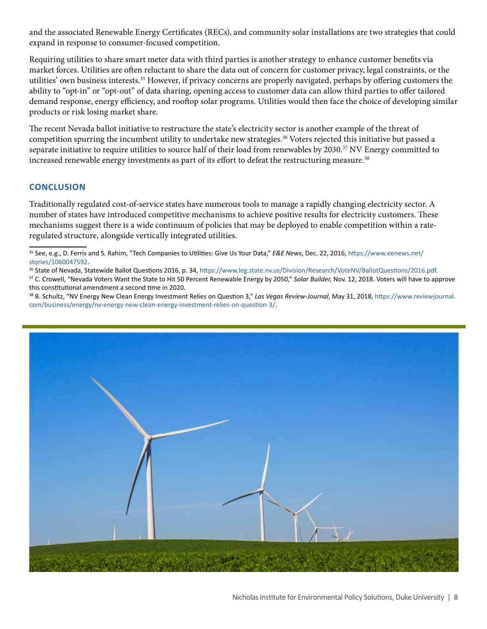and the associated Renewable Energy Certificates (RECs), and community solar installations are two strategies that could expand in response to consumer-focused competition.

Requiring utilities to share smart meter data with third parties is another strategy to enhance customer benefits via market forces. Utilities are often reluctant to share the data out of concern for customer privacy, legal constraints, or the utilities' own business interests.35 However, if privacy concerns are properly navigated, perhaps by offering customers the ability to "opt-in" or "opt-out" of data sharing, opening access to customer data can allow third parties to offer tailored demand response, energy efficiency, and rooftop solar programs. Utilities would then face the choice of developing similar products or risk losing market share.

The recent Nevada ballot initiative to restructure the state's electricity sector is another example of the threat of competition spurring the incumbent utility to undertake new strategies.<sup>36</sup> Voters rejected this initiative but passed a separate initiative to require utilities to source half of their load from renewables by 2030.<sup>37</sup> NV Energy committed to increased renewable energy investments as part of its effort to defeat the restructuring measure.<sup>38</sup>

#### **CONCLUSION**

Traditionally regulated cost-of-service states have numerous tools to manage a rapidly changing electricity sector. A number of states have introduced competitive mechanisms to achieve positive results for electricity customers. These mechanisms suggest there is a wide continuum of policies that may be deployed to enable competition within a rateregulated structure, alongside vertically integrated utilities.

- [stories/1060047592](https://www.eenews.net/stories/1060047592).<br><sup>36</sup> State of Nevada, Statewide Ballot Questions 2016, p. 34,<https://www.leg.state.nv.us/Division/Research/VoteNV/BallotQuestions/2016.pdf>.<br><sup>37</sup> C. Crowell, "Nevada Voters Want the State to Hit 50 Perc
- this constitutional amendment a second time in 2020.
- 38 B. Schultz, "NV Energy New Clean Energy Investment Relies on Question 3," *Las Vegas Review-Journal*, May 31, 2018, [https://www.reviewjournal.](https://www.reviewjournal.com/business/energy/nv-energy-new-clean-energy-investment-relies-on-question-3/) [com/business/energy/nv-energy-new-clean-energy-investment-relies-on-question-3/](https://www.reviewjournal.com/business/energy/nv-energy-new-clean-energy-investment-relies-on-question-3/).



<sup>35</sup> See, e.g., D. Ferris and S. Rahim, "Tech Companies to Utilities: Give Us Your Data," *E&E News*, Dec. 22, 2016, [https://www.eenews.net/](https://www.eenews.net/stories/1060047592)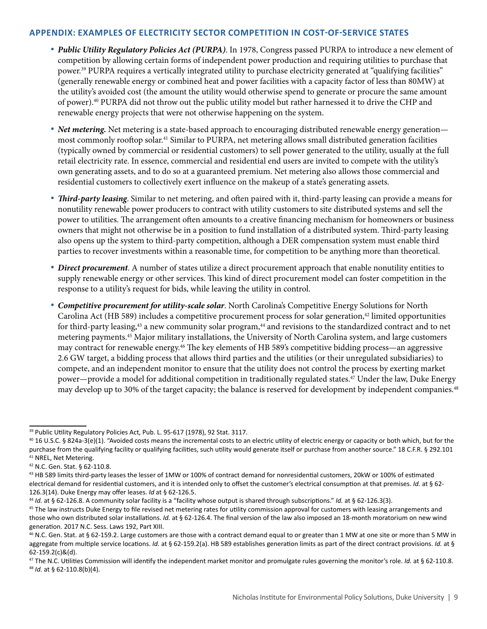#### **APPENDIX: EXAMPLES OF ELECTRICITY SECTOR COMPETITION IN COST-OF-SERVICE STATES**

- *Public Utility Regulatory Policies Act (PURPA)*. In 1978, Congress passed PURPA to introduce a new element of competition by allowing certain forms of independent power production and requiring utilities to purchase that power.39 PURPA requires a vertically integrated utility to purchase electricity generated at "qualifying facilities" (generally renewable energy or combined heat and power facilities with a capacity factor of less than 80MW) at the utility's avoided cost (the amount the utility would otherwise spend to generate or procure the same amount of power).40 PURPA did not throw out the public utility model but rather harnessed it to drive the CHP and renewable energy projects that were not otherwise happening on the system.
- *Net metering.* Net metering is a state-based approach to encouraging distributed renewable energy generation most commonly rooftop solar.41 Similar to PURPA, net metering allows small distributed generation facilities (typically owned by commercial or residential customers) to sell power generated to the utility, usually at the full retail electricity rate. In essence, commercial and residential end users are invited to compete with the utility's own generating assets, and to do so at a guaranteed premium. Net metering also allows those commercial and residential customers to collectively exert influence on the makeup of a state's generating assets.
- *Third-party leasing*. Similar to net metering, and often paired with it, third-party leasing can provide a means for nonutility renewable power producers to contract with utility customers to site distributed systems and sell the power to utilities. The arrangement often amounts to a creative financing mechanism for homeowners or business owners that might not otherwise be in a position to fund installation of a distributed system. Third-party leasing also opens up the system to third-party competition, although a DER compensation system must enable third parties to recover investments within a reasonable time, for competition to be anything more than theoretical.
- *Direct procurement*. A number of states utilize a direct procurement approach that enable nonutility entities to supply renewable energy or other services. This kind of direct procurement model can foster competition in the response to a utility's request for bids, while leaving the utility in control.
- *Competitive procurement for utility-scale solar*. North Carolina's Competitive Energy Solutions for North Carolina Act (HB 589) includes a competitive procurement process for solar generation,<sup>42</sup> limited opportunities for third-party leasing,<sup>43</sup> a new community solar program,<sup>44</sup> and revisions to the standardized contract and to net metering payments.45 Major military installations, the University of North Carolina system, and large customers may contract for renewable energy.46 The key elements of HB 589's competitive bidding process—an aggressive 2.6 GW target, a bidding process that allows third parties and the utilities (or their unregulated subsidiaries) to compete, and an independent monitor to ensure that the utility does not control the process by exerting market power—provide a model for additional competition in traditionally regulated states.47 Under the law, Duke Energy may develop up to 30% of the target capacity; the balance is reserved for development by independent companies.<sup>48</sup>

<sup>&</sup>lt;sup>39</sup> Public Utility Regulatory Policies Act, Pub. L. 95-617 (1978), 92 Stat. 3117.

 $40$  16 U.S.C. § 824a-3(e)(1). "Avoided costs means the incremental costs to an electric utility of electric energy or capacity or both which, but for the purchase from the qualifying facility or qualifying facilities, such utility would generate itself or purchase from another source." 18 C.F.R. § 292.101 41 NREL, Net Metering.

<sup>42</sup> N.C. Gen. Stat. § 62-110.8.

<sup>&</sup>lt;sup>43</sup> HB 589 limits third-party leases the lesser of 1MW or 100% of contract demand for nonresidential customers, 20kW or 100% of estimated electrical demand for residential customers, and it is intended only to offset the customer's electrical consumption at that premises. *Id.* at § 62- 126.3(14). Duke Energy may offer leases. *Id* at § 62-126.5.

<sup>44</sup> *Id.* at § 62-126.8. A community solar facility is a "facility whose output is shared through subscriptions." *Id.* at § 62-126.3(3).

<sup>&</sup>lt;sup>45</sup> The law instructs Duke Energy to file revised net metering rates for utility commission approval for customers with leasing arrangements and those who own distributed solar installations. *Id.* at § 62-126.4. The final version of the law also imposed an 18-month moratorium on new wind generation. 2017 N.C. Sess. Laws 192, Part XIII.

 $46$  N.C. Gen. Stat. at § 62-159.2. Large customers are those with a contract demand equal to or greater than 1 MW at one site or more than 5 MW in aggregate from multiple service locations. *Id.* at § 62-159.2(a). HB 589 establishes generation limits as part of the direct contract provisions. *Id.* at § 62-159.2(c)&(d).

<sup>47</sup> The N.C. Utilities Commission will identify the independent market monitor and promulgate rules governing the monitor's role. *Id.* at § 62-110.8. <sup>48</sup> *Id.* at § 62-110.8(b)(4).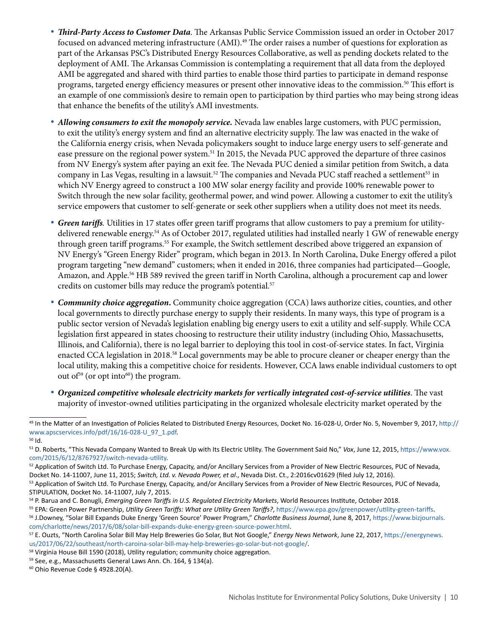- *Third-Party Access to Customer Data*. The Arkansas Public Service Commission issued an order in October 2017 focused on advanced metering infrastructure (AMI).49 The order raises a number of questions for exploration as part of the Arkansas PSC's Distributed Energy Resources Collaborative, as well as pending dockets related to the deployment of AMI. The Arkansas Commission is contemplating a requirement that all data from the deployed AMI be aggregated and shared with third parties to enable those third parties to participate in demand response programs, targeted energy efficiency measures or present other innovative ideas to the commission.50 This effort is an example of one commission's desire to remain open to participation by third parties who may being strong ideas that enhance the benefits of the utility's AMI investments.
- *Allowing consumers to exit the monopoly service.* Nevada law enables large customers, with PUC permission, to exit the utility's energy system and find an alternative electricity supply. The law was enacted in the wake of the California energy crisis, when Nevada policymakers sought to induce large energy users to self-generate and ease pressure on the regional power system.51 In 2015, the Nevada PUC approved the departure of three casinos from NV Energy's system after paying an exit fee. The Nevada PUC denied a similar petition from Switch, a data company in Las Vegas, resulting in a lawsuit.<sup>52</sup> The companies and Nevada PUC staff reached a settlement<sup>53</sup> in which NV Energy agreed to construct a 100 MW solar energy facility and provide 100% renewable power to Switch through the new solar facility, geothermal power, and wind power. Allowing a customer to exit the utility's service empowers that customer to self-generate or seek other suppliers when a utility does not meet its needs.
- *Green tariffs.* Utilities in 17 states offer green tariff programs that allow customers to pay a premium for utilitydelivered renewable energy.54 As of October 2017, regulated utilities had installed nearly 1 GW of renewable energy through green tariff programs.55 For example, the Switch settlement described above triggered an expansion of NV Energy's "Green Energy Rider" program, which began in 2013. In North Carolina, Duke Energy offered a pilot program targeting "new demand" customers; when it ended in 2016, three companies had participated—Google, Amazon, and Apple.56 HB 589 revived the green tariff in North Carolina, although a procurement cap and lower credits on customer bills may reduce the program's potential.<sup>57</sup>
- *Community choice aggregation***.** Community choice aggregation (CCA) laws authorize cities, counties, and other local governments to directly purchase energy to supply their residents. In many ways, this type of program is a public sector version of Nevada's legislation enabling big energy users to exit a utility and self-supply. While CCA legislation first appeared in states choosing to restructure their utility industry (including Ohio, Massachusetts, Illinois, and California), there is no legal barrier to deploying this tool in cost-of-service states. In fact, Virginia enacted CCA legislation in 2018.58 Local governments may be able to procure cleaner or cheaper energy than the local utility, making this a competitive choice for residents. However, CCA laws enable individual customers to opt out of<sup>59</sup> (or opt into<sup>60</sup>) the program.
- *Organized competitive wholesale electricity markets for vertically integrated cost-of-service utilities*. The vast majority of investor-owned utilities participating in the organized wholesale electricity market operated by the

60 Ohio Revenue Code § 4928.20(A).

<sup>49</sup> In the Matter of an Investigation of Policies Related to Distributed Energy Resources, Docket No. 16-028-U, Order No. 5, November 9, 2017, [http://](http://www.apscservices.info/pdf/16/16-028-U_97_1.pdf) [www.apscservices.info/pdf/16/16-028-U\\_97\\_1.pdf.](http://www.apscservices.info/pdf/16/16-028-U_97_1.pdf)<br><sup>50</sup> Id.

<sup>51</sup> D. Roberts, "This Nevada Company Wanted to Break Up with Its Electric Utility. The Government Said No," *Vox*, June 12, 2015, [https://www.vox.](https://www.vox.com/2015/6/12/8767927/switch-nevada-utility)

[com/2015/6/12/8767927/switch-nevada-utility](https://www.vox.com/2015/6/12/8767927/switch-nevada-utility).<br><sup>52</sup> Application of Switch Ltd. To Purchase Energy, Capacity, and/or Ancillary Services from a Provider of New Electric Resources, PUC of Nevada, Docket No. 14-11007, June 11, 2015; *Switch, Ltd. v. Nevada Power, et al*., Nevada Dist. Ct., 2:2016cv01629 (filed July 12, 2016).

<sup>53</sup> Application of Switch Ltd. To Purchase Energy, Capacity, and/or Ancillary Services from a Provider of New Electric Resources, PUC of Nevada, STIPULATION, Docket No. 14-11007, July 7, 2015.

<sup>&</sup>lt;sup>54</sup> P. Barua and C. Bonugli, *Emerging Green Tariffs in U.S. Regulated Electricity Markets*, World Resources Institute, October 2018.<br><sup>55</sup> EPA: Green Power Partnership, *Utility Green Tariffs: What are Utility Green Tarif* 

[com/charlotte/news/2017/6/08/solar-bill-expands-duke-energy-green-source-power.html](https://www.bizjournals.com/charlotte/news/2017/6/08/solar-bill-expands-duke-energy-green-source-power.html).<br><sup>57</sup> E. Ouzts, "North Carolina Solar Bill May Help Breweries Go Solar, But Not Google," Energy News Network, June 22, 2017, https://energ [us/2017/06/22/southeast/north-caroina-solar-bill-may-help-breweries-go-solar-but-not-google/.](https://energynews.us/2017/06/22/southeast/north-caroina-solar-bill-may-help-breweries-go-solar-but-not-google/)<br><sup>58</sup> Virginia House Bill 1590 (2018), Utility regulation; community choice aggregation.

<sup>59</sup> See, e.g., Massachusetts General Laws Ann. Ch. 164, § 134(a).